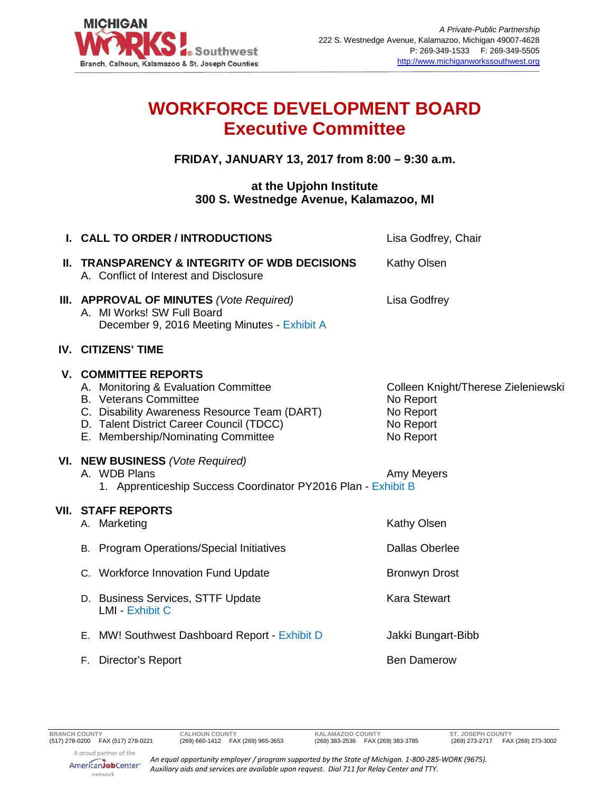

## **WORKFORCE DEVELOPMENT BOARD Executive Committee**

## **FRIDAY, JANUARY 13, 2017 from 8:00 – 9:30 a.m.**

## **at the Upjohn Institute 300 S. Westnedge Avenue, Kalamazoo, MI**

|                                                                                                                                                                                                        | Lisa Godfrey, Chair                                                                                                                                                                                                                                                                                                  |
|--------------------------------------------------------------------------------------------------------------------------------------------------------------------------------------------------------|----------------------------------------------------------------------------------------------------------------------------------------------------------------------------------------------------------------------------------------------------------------------------------------------------------------------|
| A. Conflict of Interest and Disclosure                                                                                                                                                                 | Kathy Olsen                                                                                                                                                                                                                                                                                                          |
| A. MI Works! SW Full Board<br>December 9, 2016 Meeting Minutes - Exhibit A                                                                                                                             | Lisa Godfrey                                                                                                                                                                                                                                                                                                         |
|                                                                                                                                                                                                        |                                                                                                                                                                                                                                                                                                                      |
| A. Monitoring & Evaluation Committee<br><b>B.</b> Veterans Committee<br>C. Disability Awareness Resource Team (DART)<br>D. Talent District Career Council (TDCC)<br>E. Membership/Nominating Committee | Colleen Knight/Therese Zieleniewski<br>No Report<br>No Report<br>No Report<br>No Report                                                                                                                                                                                                                              |
| A. WDB Plans                                                                                                                                                                                           | Amy Meyers                                                                                                                                                                                                                                                                                                           |
| A. Marketing                                                                                                                                                                                           | Kathy Olsen                                                                                                                                                                                                                                                                                                          |
| <b>B.</b> Program Operations/Special Initiatives                                                                                                                                                       | <b>Dallas Oberlee</b>                                                                                                                                                                                                                                                                                                |
| C. Workforce Innovation Fund Update                                                                                                                                                                    | <b>Bronwyn Drost</b>                                                                                                                                                                                                                                                                                                 |
| D. Business Services, STTF Update<br><b>LMI - Exhibit C</b>                                                                                                                                            | <b>Kara Stewart</b>                                                                                                                                                                                                                                                                                                  |
| E. MW! Southwest Dashboard Report - Exhibit D                                                                                                                                                          | Jakki Bungart-Bibb                                                                                                                                                                                                                                                                                                   |
| Director's Report<br>F.                                                                                                                                                                                | <b>Ben Damerow</b>                                                                                                                                                                                                                                                                                                   |
|                                                                                                                                                                                                        | I. CALL TO ORDER / INTRODUCTIONS<br>II. TRANSPARENCY & INTEGRITY OF WDB DECISIONS<br>III. APPROVAL OF MINUTES (Vote Required)<br>IV. CITIZENS' TIME<br><b>V. COMMITTEE REPORTS</b><br>VI. NEW BUSINESS (Vote Required)<br>1. Apprenticeship Success Coordinator PY2016 Plan - Exhibit B<br><b>VII. STAFF REPORTS</b> |